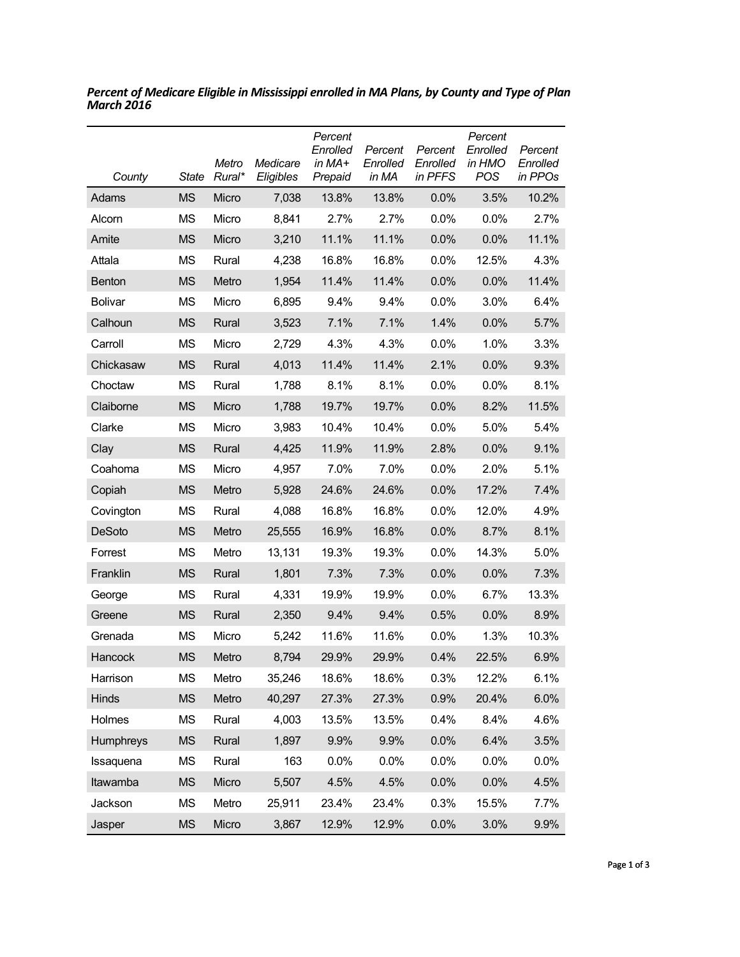| County         | State     | Metro<br>Rural* | Medicare<br>Eligibles | Percent<br>Enrolled<br>in MA+<br>Prepaid | Percent<br>Enrolled<br>in MA | Percent<br>Enrolled<br>in PFFS | Percent<br>Enrolled<br>in HMO<br>POS | Percent<br>Enrolled<br>in PPOs |
|----------------|-----------|-----------------|-----------------------|------------------------------------------|------------------------------|--------------------------------|--------------------------------------|--------------------------------|
| Adams          | <b>MS</b> | Micro           | 7,038                 | 13.8%                                    | 13.8%                        | 0.0%                           | 3.5%                                 | 10.2%                          |
| Alcorn         | ΜS        | Micro           | 8,841                 | 2.7%                                     | 2.7%                         | 0.0%                           | 0.0%                                 | 2.7%                           |
| Amite          | <b>MS</b> | Micro           | 3,210                 | 11.1%                                    | 11.1%                        | 0.0%                           | 0.0%                                 | 11.1%                          |
| Attala         | ΜS        | Rural           | 4,238                 | 16.8%                                    | 16.8%                        | 0.0%                           | 12.5%                                | 4.3%                           |
| <b>Benton</b>  | <b>MS</b> | Metro           | 1,954                 | 11.4%                                    | 11.4%                        | 0.0%                           | 0.0%                                 | 11.4%                          |
| <b>Bolivar</b> | ΜS        | Micro           | 6,895                 | 9.4%                                     | 9.4%                         | 0.0%                           | 3.0%                                 | 6.4%                           |
| Calhoun        | <b>MS</b> | Rural           | 3,523                 | 7.1%                                     | 7.1%                         | 1.4%                           | 0.0%                                 | 5.7%                           |
| Carroll        | <b>MS</b> | Micro           | 2,729                 | 4.3%                                     | 4.3%                         | 0.0%                           | 1.0%                                 | 3.3%                           |
| Chickasaw      | <b>MS</b> | Rural           | 4,013                 | 11.4%                                    | 11.4%                        | 2.1%                           | 0.0%                                 | 9.3%                           |
| Choctaw        | ΜS        | Rural           | 1,788                 | 8.1%                                     | 8.1%                         | 0.0%                           | 0.0%                                 | 8.1%                           |
| Claiborne      | <b>MS</b> | Micro           | 1,788                 | 19.7%                                    | 19.7%                        | 0.0%                           | 8.2%                                 | 11.5%                          |
| Clarke         | ΜS        | Micro           | 3,983                 | 10.4%                                    | 10.4%                        | 0.0%                           | 5.0%                                 | 5.4%                           |
| Clay           | <b>MS</b> | Rural           | 4,425                 | 11.9%                                    | 11.9%                        | 2.8%                           | 0.0%                                 | 9.1%                           |
| Coahoma        | <b>MS</b> | Micro           | 4,957                 | 7.0%                                     | 7.0%                         | 0.0%                           | 2.0%                                 | 5.1%                           |
| Copiah         | <b>MS</b> | Metro           | 5,928                 | 24.6%                                    | 24.6%                        | 0.0%                           | 17.2%                                | 7.4%                           |
| Covington      | <b>MS</b> | Rural           | 4,088                 | 16.8%                                    | 16.8%                        | 0.0%                           | 12.0%                                | 4.9%                           |
| <b>DeSoto</b>  | <b>MS</b> | Metro           | 25,555                | 16.9%                                    | 16.8%                        | 0.0%                           | 8.7%                                 | 8.1%                           |
| Forrest        | ΜS        | Metro           | 13,131                | 19.3%                                    | 19.3%                        | 0.0%                           | 14.3%                                | 5.0%                           |
| Franklin       | <b>MS</b> | Rural           | 1,801                 | 7.3%                                     | 7.3%                         | 0.0%                           | 0.0%                                 | 7.3%                           |
| George         | ΜS        | Rural           | 4,331                 | 19.9%                                    | 19.9%                        | $0.0\%$                        | 6.7%                                 | 13.3%                          |
| Greene         | <b>MS</b> | Rural           | 2,350                 | 9.4%                                     | 9.4%                         | 0.5%                           | 0.0%                                 | 8.9%                           |
| Grenada        | ΜS        | Micro           | 5,242                 | 11.6%                                    | 11.6%                        | $0.0\%$                        | 1.3%                                 | 10.3%                          |
| Hancock        | <b>MS</b> | Metro           | 8,794                 | 29.9%                                    | 29.9%                        | 0.4%                           | 22.5%                                | 6.9%                           |
| Harrison       | MS        | Metro           | 35,246                | 18.6%                                    | 18.6%                        | 0.3%                           | 12.2%                                | 6.1%                           |
| Hinds          | <b>MS</b> | Metro           | 40,297                | 27.3%                                    | 27.3%                        | 0.9%                           | 20.4%                                | 6.0%                           |
| Holmes         | <b>MS</b> | Rural           | 4,003                 | 13.5%                                    | 13.5%                        | 0.4%                           | 8.4%                                 | 4.6%                           |
| Humphreys      | <b>MS</b> | Rural           | 1,897                 | 9.9%                                     | 9.9%                         | 0.0%                           | 6.4%                                 | 3.5%                           |
| Issaquena      | ΜS        | Rural           | 163                   | 0.0%                                     | 0.0%                         | 0.0%                           | 0.0%                                 | 0.0%                           |
| Itawamba       | <b>MS</b> | Micro           | 5,507                 | 4.5%                                     | 4.5%                         | 0.0%                           | 0.0%                                 | 4.5%                           |
| Jackson        | ΜS        | Metro           | 25,911                | 23.4%                                    | 23.4%                        | 0.3%                           | 15.5%                                | 7.7%                           |
| Jasper         | <b>MS</b> | Micro           | 3,867                 | 12.9%                                    | 12.9%                        | 0.0%                           | 3.0%                                 | 9.9%                           |

*Percent of Medicare Eligible in Mississippi enrolled in MA Plans, by County and Type of Plan March 2016*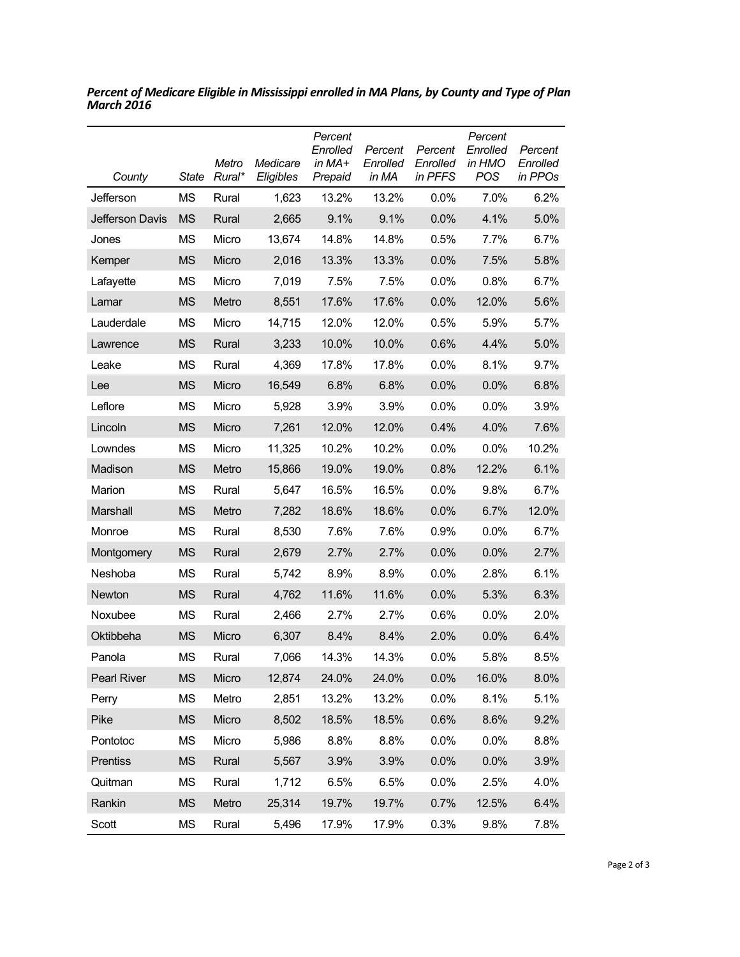| County          | State     | Metro<br>Rural* | Medicare<br>Eligibles | Percent<br>Enrolled<br>in MA+<br>Prepaid | Percent<br>Enrolled<br>in MA | Percent<br>Enrolled<br>in PFFS | Percent<br>Enrolled<br>in HMO<br>POS | Percent<br>Enrolled<br>in PPOs |
|-----------------|-----------|-----------------|-----------------------|------------------------------------------|------------------------------|--------------------------------|--------------------------------------|--------------------------------|
| Jefferson       | MS        | Rural           | 1,623                 | 13.2%                                    | 13.2%                        | 0.0%                           | 7.0%                                 | 6.2%                           |
| Jefferson Davis | <b>MS</b> | Rural           | 2,665                 | 9.1%                                     | 9.1%                         | 0.0%                           | 4.1%                                 | 5.0%                           |
| Jones           | MS        | Micro           | 13,674                | 14.8%                                    | 14.8%                        | 0.5%                           | 7.7%                                 | 6.7%                           |
| Kemper          | <b>MS</b> | Micro           | 2,016                 | 13.3%                                    | 13.3%                        | 0.0%                           | 7.5%                                 | 5.8%                           |
| Lafayette       | MS        | Micro           | 7,019                 | 7.5%                                     | 7.5%                         | 0.0%                           | 0.8%                                 | 6.7%                           |
| Lamar           | <b>MS</b> | Metro           | 8,551                 | 17.6%                                    | 17.6%                        | 0.0%                           | 12.0%                                | 5.6%                           |
| Lauderdale      | MS        | Micro           | 14,715                | 12.0%                                    | 12.0%                        | 0.5%                           | 5.9%                                 | 5.7%                           |
| Lawrence        | <b>MS</b> | Rural           | 3,233                 | 10.0%                                    | 10.0%                        | 0.6%                           | 4.4%                                 | 5.0%                           |
| Leake           | MS        | Rural           | 4,369                 | 17.8%                                    | 17.8%                        | 0.0%                           | 8.1%                                 | 9.7%                           |
| Lee             | <b>MS</b> | Micro           | 16,549                | 6.8%                                     | 6.8%                         | 0.0%                           | 0.0%                                 | 6.8%                           |
| Leflore         | MS        | Micro           | 5,928                 | 3.9%                                     | 3.9%                         | 0.0%                           | 0.0%                                 | 3.9%                           |
| Lincoln         | <b>MS</b> | Micro           | 7,261                 | 12.0%                                    | 12.0%                        | 0.4%                           | 4.0%                                 | 7.6%                           |
| Lowndes         | MS        | Micro           | 11,325                | 10.2%                                    | 10.2%                        | 0.0%                           | 0.0%                                 | 10.2%                          |
| Madison         | <b>MS</b> | Metro           | 15,866                | 19.0%                                    | 19.0%                        | 0.8%                           | 12.2%                                | 6.1%                           |
| Marion          | MS        | Rural           | 5,647                 | 16.5%                                    | 16.5%                        | 0.0%                           | 9.8%                                 | 6.7%                           |
| Marshall        | <b>MS</b> | Metro           | 7,282                 | 18.6%                                    | 18.6%                        | 0.0%                           | 6.7%                                 | 12.0%                          |
| Monroe          | MS        | Rural           | 8,530                 | 7.6%                                     | 7.6%                         | 0.9%                           | 0.0%                                 | 6.7%                           |
| Montgomery      | <b>MS</b> | Rural           | 2,679                 | 2.7%                                     | 2.7%                         | 0.0%                           | 0.0%                                 | 2.7%                           |
| Neshoba         | MS        | Rural           | 5,742                 | 8.9%                                     | 8.9%                         | 0.0%                           | 2.8%                                 | 6.1%                           |
| <b>Newton</b>   | <b>MS</b> | Rural           | 4,762                 | 11.6%                                    | 11.6%                        | 0.0%                           | 5.3%                                 | 6.3%                           |
| Noxubee         | MS        | Rural           | 2,466                 | 2.7%                                     | 2.7%                         | 0.6%                           | 0.0%                                 | 2.0%                           |
| Oktibbeha       | <b>MS</b> | Micro           | 6,307                 | 8.4%                                     | 8.4%                         | 2.0%                           | 0.0%                                 | 6.4%                           |
| Panola          | <b>MS</b> | Rural           | 7,066                 | 14.3%                                    | 14.3%                        | 0.0%                           | 5.8%                                 | 8.5%                           |
| Pearl River     | <b>MS</b> | Micro           | 12,874                | 24.0%                                    | 24.0%                        | 0.0%                           | 16.0%                                | 8.0%                           |
| Perry           | <b>MS</b> | Metro           | 2,851                 | 13.2%                                    | 13.2%                        | 0.0%                           | 8.1%                                 | 5.1%                           |
| Pike            | <b>MS</b> | Micro           | 8,502                 | 18.5%                                    | 18.5%                        | 0.6%                           | 8.6%                                 | 9.2%                           |
| Pontotoc        | <b>MS</b> | Micro           | 5,986                 | 8.8%                                     | 8.8%                         | 0.0%                           | 0.0%                                 | 8.8%                           |
| Prentiss        | <b>MS</b> | Rural           | 5,567                 | 3.9%                                     | 3.9%                         | 0.0%                           | 0.0%                                 | 3.9%                           |
| Quitman         | MS        | Rural           | 1,712                 | 6.5%                                     | 6.5%                         | 0.0%                           | 2.5%                                 | 4.0%                           |
| Rankin          | <b>MS</b> | Metro           | 25,314                | 19.7%                                    | 19.7%                        | 0.7%                           | 12.5%                                | 6.4%                           |
| Scott           | <b>MS</b> | Rural           | 5,496                 | 17.9%                                    | 17.9%                        | 0.3%                           | 9.8%                                 | 7.8%                           |

*Percent of Medicare Eligible in Mississippi enrolled in MA Plans, by County and Type of Plan March 2016*